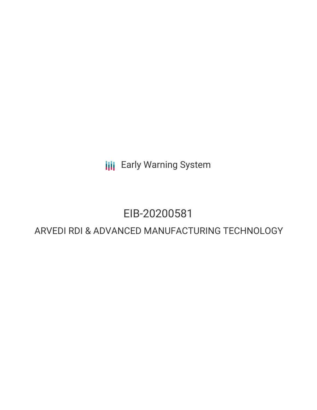**III** Early Warning System

# EIB-20200581

# ARVEDI RDI & ADVANCED MANUFACTURING TECHNOLOGY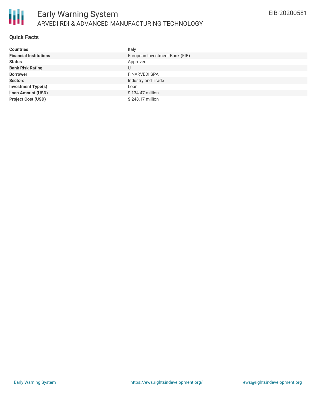

## **Quick Facts**

| <b>Countries</b>              | Italy                          |
|-------------------------------|--------------------------------|
| <b>Financial Institutions</b> | European Investment Bank (EIB) |
| <b>Status</b>                 | Approved                       |
| <b>Bank Risk Rating</b>       | U                              |
| <b>Borrower</b>               | <b>FINARVEDI SPA</b>           |
| <b>Sectors</b>                | Industry and Trade             |
| <b>Investment Type(s)</b>     | Loan                           |
| <b>Loan Amount (USD)</b>      | \$134.47 million               |
| <b>Project Cost (USD)</b>     | \$248.17 million               |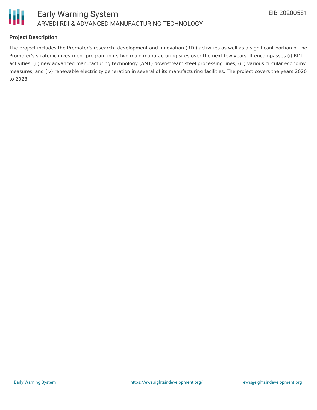

## **Project Description**

The project includes the Promoter's research, development and innovation (RDI) activities as well as a significant portion of the Promoter's strategic investment program in its two main manufacturing sites over the next few years. It encompasses (i) RDI activities, (ii) new advanced manufacturing technology (AMT) downstream steel processing lines, (iii) various circular economy measures, and (iv) renewable electricity generation in several of its manufacturing facilities. The project covers the years 2020 to 2023.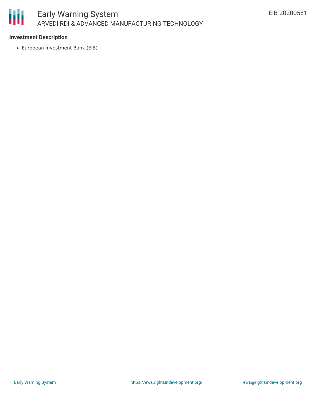

#### **Investment Description**

European Investment Bank (EIB)